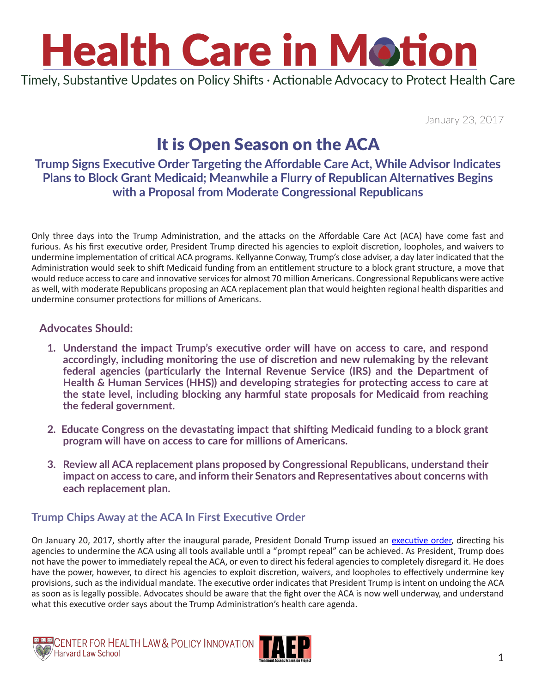Timely, Substantive Updates on Policy Shifts · Actionable Advocacy to Protect Health Care

January 23, 2017

### It is Open Season on the ACA

### **Trump Signs Executive Order Targeting the Affordable Care Act, While Advisor Indicates Plans to Block Grant Medicaid; Meanwhile a Flurry of Republican Alternatives Begins with a Proposal from Moderate Congressional Republicans**

Only three days into the Trump Administration, and the attacks on the Affordable Care Act (ACA) have come fast and furious. As his first executive order, President Trump directed his agencies to exploit discretion, loopholes, and waivers to undermine implementation of critical ACA programs. Kellyanne Conway, Trump's close adviser, a day later indicated that the Administration would seek to shift Medicaid funding from an entitlement structure to a block grant structure, a move that would reduce access to care and innovative services for almost 70 million Americans. Congressional Republicans were active as well, with moderate Republicans proposing an ACA replacement plan that would heighten regional health disparities and undermine consumer protections for millions of Americans.

#### **Advocates Should:**

- **1. Understand the impact Trump's executive order will have on access to care, and respond accordingly, including monitoring the use of discretion and new rulemaking by the relevant federal agencies (particularly the Internal Revenue Service (IRS) and the Department of Health & Human Services (HHS)) and developing strategies for protecting access to care at the state level, including blocking any harmful state proposals for Medicaid from reaching the federal government.**
- **2. Educate Congress on the devastating impact that shifting Medicaid funding to a block grant program will have on access to care for millions of Americans.**
- **3. Review all ACA replacement plans proposed by Congressional Republicans, understand their impact on access to care, and inform their Senators and Representatives about concerns with each replacement plan.**

#### **Trump Chips Away at the ACA In First Executive Order**

On January 20, 2017, shortly after the inaugural parade, President Donald Trump issued an [executive order,](http://www.cnn.com/2017/01/20/politics/trump-obamacare-executive-order/index.html) directing his agencies to undermine the ACA using all tools available until a "prompt repeal" can be achieved. As President, Trump does not have the power to immediately repeal the ACA, or even to direct his federal agencies to completely disregard it. He does have the power, however, to direct his agencies to exploit discretion, waivers, and loopholes to effectively undermine key provisions, such as the individual mandate. The executive order indicates that President Trump is intent on undoing the ACA as soon as is legally possible. Advocates should be aware that the fight over the ACA is now well underway, and understand what this executive order says about the Trump Administration's health care agenda.



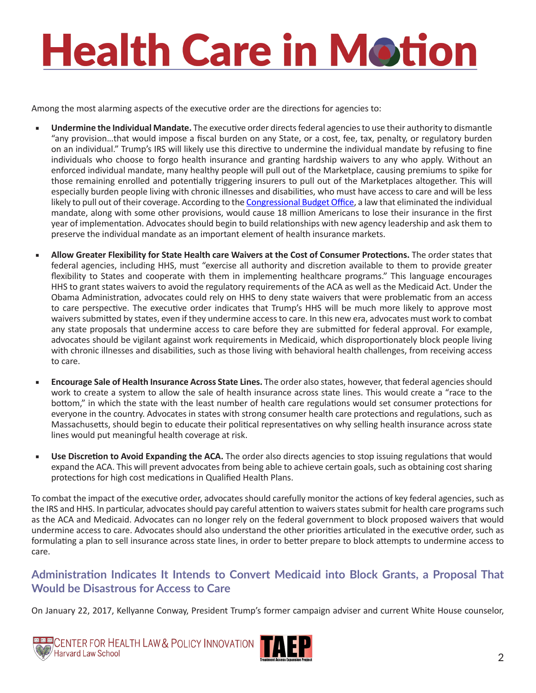Among the most alarming aspects of the executive order are the directions for agencies to:

- **Undermine the Individual Mandate.** The executive order directs federal agencies to use their authority to dismantle "any provision…that would impose a fiscal burden on any State, or a cost, fee, tax, penalty, or regulatory burden on an individual." Trump's IRS will likely use this directive to undermine the individual mandate by refusing to fine individuals who choose to forgo health insurance and granting hardship waivers to any who apply. Without an enforced individual mandate, many healthy people will pull out of the Marketplace, causing premiums to spike for those remaining enrolled and potentially triggering insurers to pull out of the Marketplaces altogether. This will especially burden people living with chronic illnesses and disabilities, who must have access to care and will be less likely to pull out of their coverage. According to the [Congressional Budget Office,](https://www.cbo.gov/publication/52371) a law that eliminated the individual mandate, along with some other provisions, would cause 18 million Americans to lose their insurance in the first year of implementation. Advocates should begin to build relationships with new agency leadership and ask them to preserve the individual mandate as an important element of health insurance markets.
- Allow Greater Flexibility for State Health care Waivers at the Cost of Consumer Protections. The order states that federal agencies, including HHS, must "exercise all authority and discretion available to them to provide greater flexibility to States and cooperate with them in implementing healthcare programs." This language encourages HHS to grant states waivers to avoid the regulatory requirements of the ACA as well as the Medicaid Act. Under the Obama Administration, advocates could rely on HHS to deny state waivers that were problematic from an access to care perspective. The executive order indicates that Trump's HHS will be much more likely to approve most waivers submitted by states, even if they undermine access to care. In this new era, advocates must work to combat any state proposals that undermine access to care before they are submitted for federal approval. For example, advocates should be vigilant against work requirements in Medicaid, which disproportionately block people living with chronic illnesses and disabilities, such as those living with behavioral health challenges, from receiving access to care.
- **Encourage Sale of Health Insurance Across State Lines.** The order also states, however, that federal agencies should work to create a system to allow the sale of health insurance across state lines. This would create a "race to the bottom," in which the state with the least number of health care regulations would set consumer protections for everyone in the country. Advocates in states with strong consumer health care protections and regulations, such as Massachusetts, should begin to educate their political representatives on why selling health insurance across state lines would put meaningful health coverage at risk.
- Use Discretion to Avoid Expanding the ACA. The order also directs agencies to stop issuing regulations that would expand the ACA. This will prevent advocates from being able to achieve certain goals, such as obtaining cost sharing protections for high cost medications in Qualified Health Plans.

To combat the impact of the executive order, advocates should carefully monitor the actions of key federal agencies, such as the IRS and HHS. In particular, advocates should pay careful attention to waivers states submit for health care programs such as the ACA and Medicaid. Advocates can no longer rely on the federal government to block proposed waivers that would undermine access to care. Advocates should also understand the other priorities articulated in the executive order, such as formulating a plan to sell insurance across state lines, in order to better prepare to block attempts to undermine access to care.

#### **Administration Indicates It Intends to Convert Medicaid into Block Grants, a Proposal That Would be Disastrous for Access to Care**

On January 22, 2017, Kellyanne Conway, President Trump's former campaign adviser and current White House counselor,



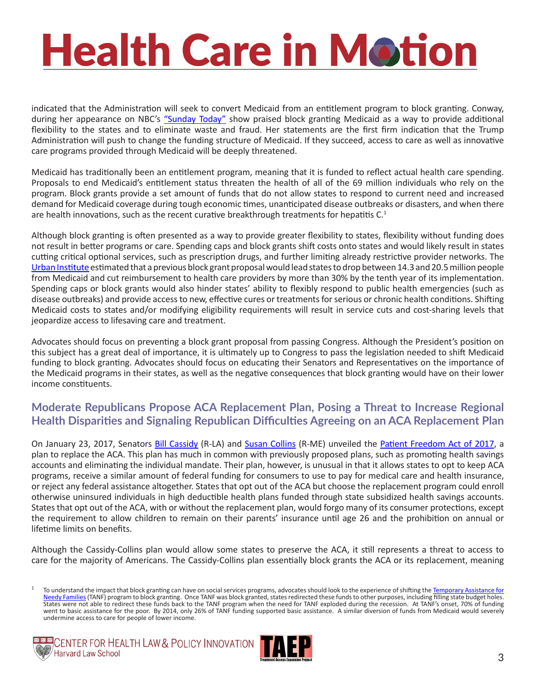indicated that the Administration will seek to convert Medicaid from an entitlement program to block granting. Conway, during her appearance on NBC's ["Sunday Today"](https://www.youtube.com/watch?v=zSho7LZQCeo) show praised block granting Medicaid as a way to provide additional flexibility to the states and to eliminate waste and fraud. Her statements are the first firm indication that the Trump Administration will push to change the funding structure of Medicaid. If they succeed, access to care as well as innovative care programs provided through Medicaid will be deeply threatened.

Medicaid has traditionally been an entitlement program, meaning that it is funded to reflect actual health care spending. Proposals to end Medicaid's entitlement status threaten the health of all of the 69 million individuals who rely on the program. Block grants provide a set amount of funds that do not allow states to respond to current need and increased demand for Medicaid coverage during tough economic times, unanticipated disease outbreaks or disasters, and when there are health innovations, such as the recent curative breakthrough treatments for hepatitis  $C<sup>1</sup>$ 

Although block granting is often presented as a way to provide greater flexibility to states, flexibility without funding does not result in better programs or care. Spending caps and block grants shift costs onto states and would likely result in states cutting critical optional services, such as prescription drugs, and further limiting already restrictive provider networks. The [Urban Institute](http://kff.org/health-reform/report/national-and-state-by-state-impact-of/) estimated that a previous block grant proposal would lead states to drop between 14.3 and 20.5 million people from Medicaid and cut reimbursement to health care providers by more than 30% by the tenth year of its implementation. Spending caps or block grants would also hinder states' ability to flexibly respond to public health emergencies (such as disease outbreaks) and provide access to new, effective cures or treatments for serious or chronic health conditions. Shifting Medicaid costs to states and/or modifying eligibility requirements will result in service cuts and cost-sharing levels that jeopardize access to lifesaving care and treatment.

Advocates should focus on preventing a block grant proposal from passing Congress. Although the President's position on this subject has a great deal of importance, it is ultimately up to Congress to pass the legislation needed to shift Medicaid funding to block granting. Advocates should focus on educating their Senators and Representatives on the importance of the Medicaid programs in their states, as well as the negative consequences that block granting would have on their lower income constituents.

#### **Moderate Republicans Propose ACA Replacement Plan, Posing a Threat to Increase Regional Health Disparities and Signaling Republican Difficulties Agreeing on an ACA Replacement Plan**

On January 23, 2017, Senators [Bill Cassidy](https://www.cassidy.senate.gov/contact) (R-LA) and [Susan Collins](https://www.collins.senate.gov/contact) (R-ME) unveiled the [Patient Freedom Act of 2017,](http://www.cassidy.senate.gov/imo/media/doc/One Pager (1.20.17) (002).pdf) a plan to replace the ACA. This plan has much in common with previously proposed plans, such as promoting health savings accounts and eliminating the individual mandate. Their plan, however, is unusual in that it allows states to opt to keep ACA programs, receive a similar amount of federal funding for consumers to use to pay for medical care and health insurance, or reject any federal assistance altogether. States that opt out of the ACA but choose the replacement program could enroll otherwise uninsured individuals in high deductible health plans funded through state subsidized health savings accounts. States that opt out of the ACA, with or without the replacement plan, would forgo many of its consumer protections, except the requirement to allow children to remain on their parents' insurance until age 26 and the prohibition on annual or lifetime limits on benefits.

Although the Cassidy-Collins plan would allow some states to preserve the ACA, it still represents a threat to access to care for the majority of Americans. The Cassidy-Collins plan essentially block grants the ACA or its replacement, meaning

<sup>&</sup>lt;sup>1</sup> To understand the impact that block granting can have on social services programs, advocates should look to the experience of shifting the [Temporary Assistance for](http://www.cbpp.org/research/family-income-support/how-states-use-federal-and-state-funds-under-the-tanf-block-grant) [Needy Families](http://www.cbpp.org/research/family-income-support/how-states-use-federal-and-state-funds-under-the-tanf-block-grant) (TANF) program to block granting. Once TANF was block granted, states redirected these funds to other purposes, including filling state budget holes. States were not able to redirect these funds back to the TANF program when the need for TANF exploded during the recession. At TANF's onset, 70% of funding went to basic assistance for the poor. By 2014, only 26% of TANF funding supported basic assistance. A similar diversion of funds from Medicaid would severely undermine access to care for people of lower income.